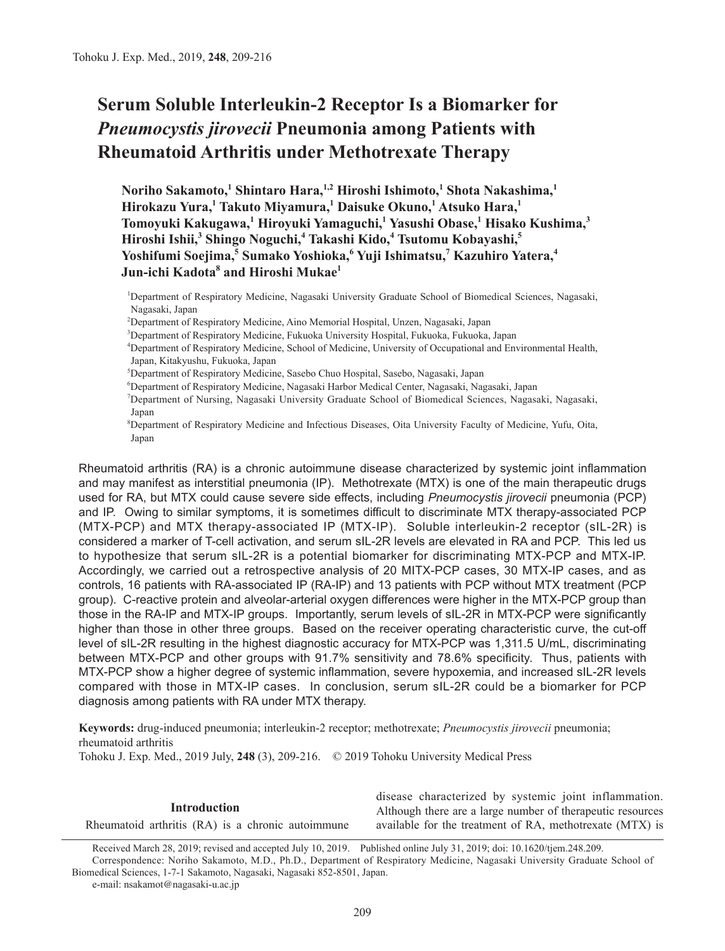# **Serum Soluble Interleukin-2 Receptor Is a Biomarker for**  *Pneumocystis jirovecii* **Pneumonia among Patients with Rheumatoid Arthritis under Methotrexate Therapy**

**Noriho Sakamoto,<sup>1</sup> Shintaro Hara,1,2 Hiroshi Ishimoto,1 Shota Nakashima,<sup>1</sup> Hirokazu Yura,<sup>1</sup> Takuto Miyamura,1 Daisuke Okuno,<sup>1</sup> Atsuko Hara,<sup>1</sup> Tomoyuki Kakugawa,<sup>1</sup> Hiroyuki Yamaguchi,1 Yasushi Obase,<sup>1</sup> Hisako Kushima,<sup>3</sup> Hiroshi Ishii,3 Shingo Noguchi,<sup>4</sup> Takashi Kido,<sup>4</sup> Tsutomu Kobayashi,<sup>5</sup> Yoshifumi Soejima,5 Sumako Yoshioka,<sup>6</sup> Yuji Ishimatsu,<sup>7</sup> Kazuhiro Yatera,4 Jun-ichi Kadota<sup>8</sup> and Hiroshi Mukae<sup>1</sup>**

1 Department of Respiratory Medicine, Nagasaki University Graduate School of Biomedical Sciences, Nagasaki, Nagasaki, Japan

2 Department of Respiratory Medicine, Aino Memorial Hospital, Unzen, Nagasaki, Japan

3 Department of Respiratory Medicine, Fukuoka University Hospital, Fukuoka, Fukuoka, Japan

4 Department of Respiratory Medicine, School of Medicine, University of Occupational and Environmental Health, Japan, Kitakyushu, Fukuoka, Japan

5 Department of Respiratory Medicine, Sasebo Chuo Hospital, Sasebo, Nagasaki, Japan

6 Department of Respiratory Medicine, Nagasaki Harbor Medical Center, Nagasaki, Nagasaki, Japan

7 Department of Nursing, Nagasaki University Graduate School of Biomedical Sciences, Nagasaki, Nagasaki, Japan

8 Department of Respiratory Medicine and Infectious Diseases, Oita University Faculty of Medicine, Yufu, Oita, Japan

Rheumatoid arthritis (RA) is a chronic autoimmune disease characterized by systemic joint inflammation and may manifest as interstitial pneumonia (IP). Methotrexate (MTX) is one of the main therapeutic drugs used for RA, but MTX could cause severe side effects, including *Pneumocystis jirovecii* pneumonia (PCP) and IP. Owing to similar symptoms, it is sometimes difficult to discriminate MTX therapy-associated PCP (MTX-PCP) and MTX therapy-associated IP (MTX-IP). Soluble interleukin-2 receptor (sIL-2R) is considered a marker of T-cell activation, and serum sIL-2R levels are elevated in RA and PCP. This led us to hypothesize that serum sIL-2R is a potential biomarker for discriminating MTX-PCP and MTX-IP. Accordingly, we carried out a retrospective analysis of 20 MITX-PCP cases, 30 MTX-IP cases, and as controls, 16 patients with RA-associated IP (RA-IP) and 13 patients with PCP without MTX treatment (PCP group). C-reactive protein and alveolar-arterial oxygen differences were higher in the MTX-PCP group than those in the RA-IP and MTX-IP groups. Importantly, serum levels of sIL-2R in MTX-PCP were significantly higher than those in other three groups. Based on the receiver operating characteristic curve, the cut-off level of sIL-2R resulting in the highest diagnostic accuracy for MTX-PCP was 1,311.5 U/mL, discriminating between MTX-PCP and other groups with 91.7% sensitivity and 78.6% specificity. Thus, patients with MTX-PCP show a higher degree of systemic inflammation, severe hypoxemia, and increased sIL-2R levels compared with those in MTX-IP cases. In conclusion, serum sIL-2R could be a biomarker for PCP diagnosis among patients with RA under MTX therapy.

**Keywords:** drug-induced pneumonia; interleukin-2 receptor; methotrexate; *Pneumocystis jirovecii* pneumonia; rheumatoid arthritis

Tohoku J. Exp. Med., 2019 July, **248** (3), 209-216. © 2019 Tohoku University Medical Press

# **Introduction**

Rheumatoid arthritis (RA) is a chronic autoimmune

disease characterized by systemic joint inflammation. Although there are a large number of therapeutic resources available for the treatment of RA, methotrexate (MTX) is

Received March 28, 2019; revised and accepted July 10, 2019. Published online July 31, 2019; doi: 10.1620/tjem.248.209. Correspondence: Noriho Sakamoto, M.D., Ph.D., Department of Respiratory Medicine, Nagasaki University Graduate School of Biomedical Sciences, 1-7-1 Sakamoto, Nagasaki, Nagasaki 852-8501, Japan. e-mail: nsakamot@nagasaki-u.ac.jp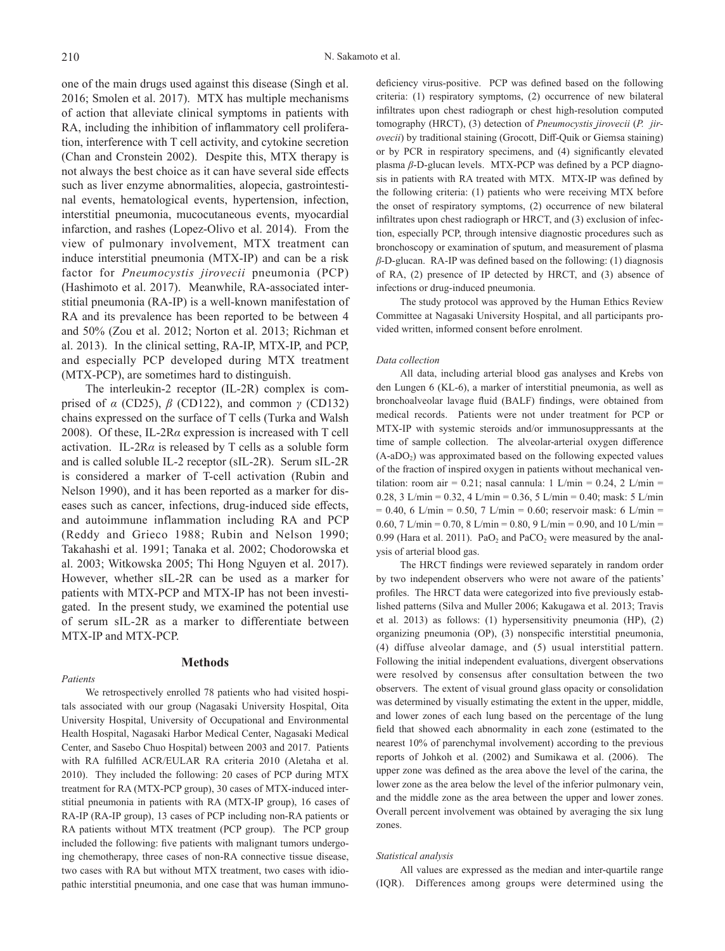one of the main drugs used against this disease (Singh et al. 2016; Smolen et al. 2017). MTX has multiple mechanisms of action that alleviate clinical symptoms in patients with RA, including the inhibition of inflammatory cell proliferation, interference with T cell activity, and cytokine secretion (Chan and Cronstein 2002). Despite this, MTX therapy is not always the best choice as it can have several side effects such as liver enzyme abnormalities, alopecia, gastrointestinal events, hematological events, hypertension, infection, interstitial pneumonia, mucocutaneous events, myocardial infarction, and rashes (Lopez-Olivo et al. 2014). From the view of pulmonary involvement, MTX treatment can induce interstitial pneumonia (MTX-IP) and can be a risk factor for *Pneumocystis jirovecii* pneumonia (PCP) (Hashimoto et al. 2017). Meanwhile, RA-associated interstitial pneumonia (RA-IP) is a well-known manifestation of RA and its prevalence has been reported to be between 4 and 50% (Zou et al. 2012; Norton et al. 2013; Richman et al. 2013). In the clinical setting, RA-IP, MTX-IP, and PCP, and especially PCP developed during MTX treatment (MTX-PCP), are sometimes hard to distinguish.

The interleukin-2 receptor (IL-2R) complex is comprised of *α* (CD25), *β* (CD122), and common *γ* (CD132) chains expressed on the surface of T cells (Turka and Walsh 2008). Of these, IL-2R*α* expression is increased with T cell activation. IL-2R*α* is released by T cells as a soluble form and is called soluble IL-2 receptor (sIL-2R). Serum sIL-2R is considered a marker of T-cell activation (Rubin and Nelson 1990), and it has been reported as a marker for diseases such as cancer, infections, drug-induced side effects, and autoimmune inflammation including RA and PCP (Reddy and Grieco 1988; Rubin and Nelson 1990; Takahashi et al. 1991; Tanaka et al. 2002; Chodorowska et al. 2003; Witkowska 2005; Thi Hong Nguyen et al. 2017). However, whether sIL-2R can be used as a marker for patients with MTX-PCP and MTX-IP has not been investigated. In the present study, we examined the potential use of serum sIL-2R as a marker to differentiate between MTX-IP and MTX-PCP.

#### *Patients*

# **Methods**

We retrospectively enrolled 78 patients who had visited hospitals associated with our group (Nagasaki University Hospital, Oita University Hospital, University of Occupational and Environmental Health Hospital, Nagasaki Harbor Medical Center, Nagasaki Medical Center, and Sasebo Chuo Hospital) between 2003 and 2017. Patients with RA fulfilled ACR/EULAR RA criteria 2010 (Aletaha et al. 2010). They included the following: 20 cases of PCP during MTX treatment for RA (MTX-PCP group), 30 cases of MTX-induced interstitial pneumonia in patients with RA (MTX-IP group), 16 cases of RA-IP (RA-IP group), 13 cases of PCP including non-RA patients or RA patients without MTX treatment (PCP group). The PCP group included the following: five patients with malignant tumors undergoing chemotherapy, three cases of non-RA connective tissue disease, two cases with RA but without MTX treatment, two cases with idiopathic interstitial pneumonia, and one case that was human immuno-

deficiency virus-positive. PCP was defined based on the following criteria: (1) respiratory symptoms, (2) occurrence of new bilateral infiltrates upon chest radiograph or chest high-resolution computed tomography (HRCT), (3) detection of *Pneumocystis jirovecii* (*P. jirovecii*) by traditional staining (Grocott, Diff-Quik or Giemsa staining) or by PCR in respiratory specimens, and (4) significantly elevated plasma *β*-D-glucan levels. MTX-PCP was defined by a PCP diagnosis in patients with RA treated with MTX. MTX-IP was defined by the following criteria: (1) patients who were receiving MTX before the onset of respiratory symptoms, (2) occurrence of new bilateral infiltrates upon chest radiograph or HRCT, and (3) exclusion of infection, especially PCP, through intensive diagnostic procedures such as bronchoscopy or examination of sputum, and measurement of plasma *β*-D-glucan. RA-IP was defined based on the following: (1) diagnosis of RA, (2) presence of IP detected by HRCT, and (3) absence of infections or drug-induced pneumonia.

The study protocol was approved by the Human Ethics Review Committee at Nagasaki University Hospital, and all participants provided written, informed consent before enrolment.

#### *Data collection*

All data, including arterial blood gas analyses and Krebs von den Lungen 6 (KL-6), a marker of interstitial pneumonia, as well as bronchoalveolar lavage fluid (BALF) findings, were obtained from medical records. Patients were not under treatment for PCP or MTX-IP with systemic steroids and/or immunosuppressants at the time of sample collection. The alveolar-arterial oxygen difference  $(A-aDO<sub>2</sub>)$  was approximated based on the following expected values of the fraction of inspired oxygen in patients without mechanical ventilation: room air = 0.21; nasal cannula: 1 L/min = 0.24, 2 L/min = 0.28, 3 L/min = 0.32, 4 L/min = 0.36, 5 L/min = 0.40; mask: 5 L/min  $= 0.40, 6$  L/min  $= 0.50, 7$  L/min  $= 0.60$ ; reservoir mask: 6 L/min  $=$ 0.60, 7 L/min = 0.70, 8 L/min = 0.80, 9 L/min = 0.90, and 10 L/min = 0.99 (Hara et al. 2011).  $PaO<sub>2</sub>$  and  $PaCO<sub>2</sub>$  were measured by the analysis of arterial blood gas.

The HRCT findings were reviewed separately in random order by two independent observers who were not aware of the patients' profiles. The HRCT data were categorized into five previously established patterns (Silva and Muller 2006; Kakugawa et al. 2013; Travis et al. 2013) as follows: (1) hypersensitivity pneumonia (HP), (2) organizing pneumonia (OP), (3) nonspecific interstitial pneumonia, (4) diffuse alveolar damage, and (5) usual interstitial pattern. Following the initial independent evaluations, divergent observations were resolved by consensus after consultation between the two observers. The extent of visual ground glass opacity or consolidation was determined by visually estimating the extent in the upper, middle, and lower zones of each lung based on the percentage of the lung field that showed each abnormality in each zone (estimated to the nearest 10% of parenchymal involvement) according to the previous reports of Johkoh et al. (2002) and Sumikawa et al. (2006). The upper zone was defined as the area above the level of the carina, the lower zone as the area below the level of the inferior pulmonary vein, and the middle zone as the area between the upper and lower zones. Overall percent involvement was obtained by averaging the six lung zones.

#### *Statistical analysis*

All values are expressed as the median and inter-quartile range (IQR). Differences among groups were determined using the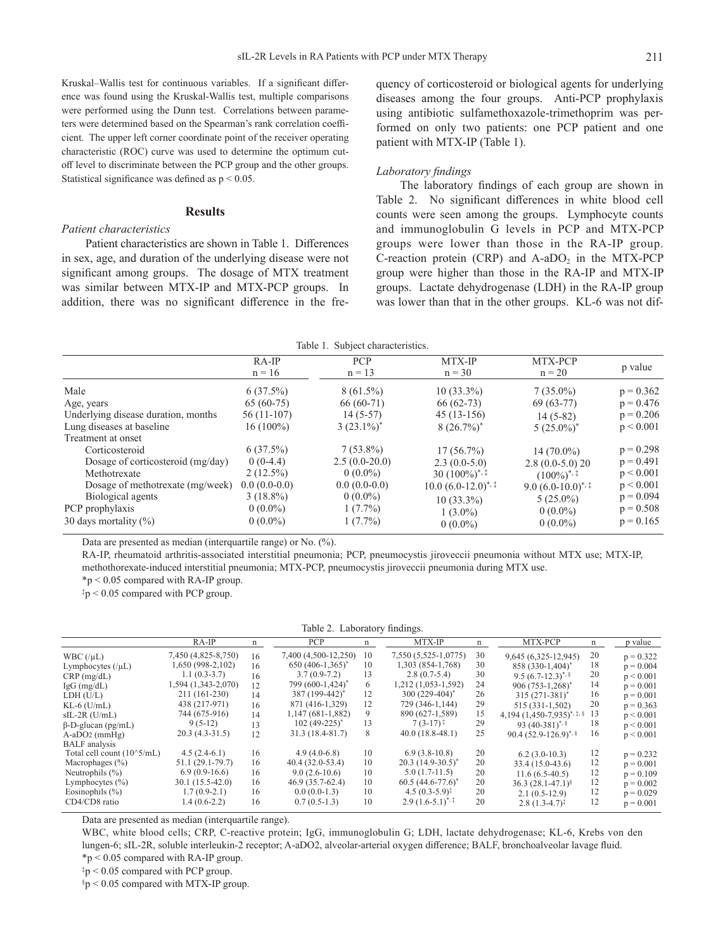Kruskal–Wallis test for continuous variables. If a significant difference was found using the Kruskal-Wallis test, multiple comparisons were performed using the Dunn test. Correlations between parameters were determined based on the Spearman's rank correlation coefficient. The upper left corner coordinate point of the receiver operating characteristic (ROC) curve was used to determine the optimum cutoff level to discriminate between the PCP group and the other groups. Statistical significance was defined as  $p < 0.05$ .

#### **Results**

# *Patient characteristics*

Patient characteristics are shown in Table 1. Differences in sex, age, and duration of the underlying disease were not significant among groups. The dosage of MTX treatment was similar between MTX-IP and MTX-PCP groups. In addition, there was no significant difference in the frequency of corticosteroid or biological agents for underlying diseases among the four groups. Anti-PCP prophylaxis using antibiotic sulfamethoxazole-trimethoprim was performed on only two patients: one PCP patient and one patient with MTX-IP (Table 1).

## *Laboratory findings*

The laboratory findings of each group are shown in Table 2. No significant differences in white blood cell counts were seen among the groups. Lymphocyte counts and immunoglobulin G levels in PCP and MTX-PCP groups were lower than those in the RA-IP group. C-reaction protein (CRP) and  $A-aDO<sub>2</sub>$  in the MTX-PCP group were higher than those in the RA-IP and MTX-IP groups. Lactate dehydrogenase (LDH) in the RA-IP group was lower than that in the other groups. KL-6 was not dif-

| Table 1. Subject characteristics. |  |
|-----------------------------------|--|
|-----------------------------------|--|

|                                     | $RA$ -IP<br>$n = 16$ | <b>PCP</b><br>$n = 13$ | MTX-IP<br>$n = 30$       | MTX-PCP<br>$n = 20$       | p value     |
|-------------------------------------|----------------------|------------------------|--------------------------|---------------------------|-------------|
|                                     |                      |                        |                          |                           |             |
| Male                                | $6(37.5\%)$          | $8(61.5\%)$            | $10(33.3\%)$             | $7(35.0\%)$               | $p = 0.362$ |
| Age, years                          | $65(60-75)$          | $66(60-71)$            | $66(62-73)$              | $69(63-77)$               | $p = 0.476$ |
| Underlying disease duration, months | $56(11-107)$         | $14(5-57)$             | $45(13-156)$             | $14(5-82)$                | $p = 0.206$ |
| Lung diseases at baseline           | $16(100\%)$          | $3(23.1\%)^*$          | $8(26.7\%)^*$            | $5(25.0\%)^*$             | p < 0.001   |
| Treatment at onset                  |                      |                        |                          |                           |             |
| Corticosteroid                      | $6(37.5\%)$          | $7(53.8\%)$            | $17(56.7\%)$             | $14(70.0\%)$              | $p = 0.298$ |
| Dosage of corticosteroid (mg/day)   | $0(0-4.4)$           | $2.5(0.0-20.0)$        | $2.3(0.0-5.0)$           | $2.8(0.0-5.0)20$          | $p = 0.491$ |
| Methotrexate                        | $2(12.5\%)$          | $0(0.0\%)$             | $30(100\%)$ <sup>*</sup> | $(100\%)$ <sup>*, ‡</sup> | p < 0.001   |
| Dosage of methotrexate (mg/week)    | $0.0(0.0-0.0)$       | $0.0(0.0-0.0)$         | $10.0 (6.0 - 12.0)^{*,}$ | 9.0 $(6.0-10.0)^{*,}$     | p < 0.001   |
| Biological agents                   | $3(18.8\%)$          | $0(0.0\%)$             | $10(33.3\%)$             | $5(25.0\%)$               | $p = 0.094$ |
| PCP prophylaxis                     | $0(0.0\%)$           | $1(7.7\%)$             | $1(3.0\%)$               | $0(0.0\%)$                | $p = 0.508$ |
| 30 days mortality $(\%)$            | $0(0.0\%)$           | $1(7.7\%)$             | $0(0.0\%)$               | $0(0.0\%)$                | $p = 0.165$ |

Data are presented as median (interquartile range) or No. (%).

RA-IP, rheumatoid arthritis-associated interstitial pneumonia; PCP, pneumocystis jiroveccii pneumonia without MTX use; MTX-IP, methothorexate-induced interstitial pneumonia; MTX-PCP, pneumocystis jiroveccii pneumonia during MTX use.

 $*_p$  < 0.05 compared with RA-IP group.

‡p < 0.05 compared with PCP group.

#### Table 2. Laboratory findings.

|                              | $RA-IP$             | n  | PCP                          | n  | MTX-IP                    | n  | MTX-PCP                            | n  | p value     |
|------------------------------|---------------------|----|------------------------------|----|---------------------------|----|------------------------------------|----|-------------|
| WBC $(\mu L)$                | 7,450 (4,825-8,750) | 16 | 7,400 (4,500-12,250)         | 10 | 7,550 (5,525-1,0775)      | 30 | 9,645 (6,325-12,945)               | 20 | $p = 0.322$ |
| Lymphocytes $(\mu L)$        | 1,650 (998-2,102)   | 16 | $650 (406 - 1,365)^*$        | 10 | 1,303 (854-1,768)         | 30 | 858 (330-1,404)                    | 18 | $p = 0.004$ |
| $CRP$ (mg/dL)                | $1.1(0.3-3.7)$      | 16 | $3.7(0.9-7.2)$               | 13 | $2.8(0.7-5.4)$            | 30 | 9.5 $(6.7-12.3)^{*}$               | 20 | p < 0.001   |
| $IgG$ (mg/dL)                | 1,594 (1,343-2,070) | 12 | 799 (600-1,424) <sup>*</sup> | 6  | 1,212 (1,053-1,592)       | 24 | 906 (753-1,268)*                   | 14 | $p = 0.001$ |
| LDH (U/L)                    | 211 (161-230)       | 14 | 387 (199-442) <sup>*</sup>   | 12 | $300(229-404)^*$          | 26 | $315(271-381)^{4}$                 | 16 | $p = 0.001$ |
| $KL-6$ ( $U/mL$ )            | 438 (217-971)       | 16 | 871 (416-1,329)              | 12 | 729 (346-1,144)           | 29 | 515 (331-1,502)                    | 20 | $p = 0.363$ |
| $sIL-2R$ (U/mL)              | 744 (675-916)       | 14 | $1,147(681-1,882)$           | 9  | 890 (627-1,589)           | 15 | 4,194 $(1,450-7,935)^{*,\ddag,\S}$ | 13 | p < 0.001   |
| $\beta$ -D-glucan (pg/mL)    | $9(5-12)$           | 13 | $102(49-225)^*$              | 13 | $7(3-17)^+$               | 29 | 93 $(40-381)^{*}$ , §              | 18 | p < 0.001   |
| $A-aDO2$ (mmHg)              | $20.3(4.3-31.5)$    | 12 | 31.3 (18.4-81.7)             | 8  | $40.0(18.8-48.1)$         | 25 | 90.4 $(52.9 - 126.9)^{*,\S}$       | 16 | p < 0.001   |
| <b>BALF</b> analysis         |                     |    |                              |    |                           |    |                                    |    |             |
| Total cell count $(10^5/mL)$ | $4.5(2.4-6.1)$      | 16 | $4.9(4.0-6.8)$               | 10 | $6.9(3.8-10.8)$           | 20 | $6.2(3.0-10.3)$                    | 12 | $p = 0.232$ |
| Macrophages $(\% )$          | 51.1 (29.1-79.7)    | 16 | $40.4(32.0-53.4)$            | 10 | $20.3(14.9-30.5)^{*}$     | 20 | 33.4 (15.0-43.6)                   | 12 | $p = 0.001$ |
| Neutrophils $(\% )$          | $6.9(0.9-16.6)$     | 16 | $9.0(2.6-10.6)$              | 10 | $5.0(1.7-11.5)$           | 20 | $11.6(6.5-40.5)$                   | 12 | $p = 0.109$ |
| Lymphocytes $(\% )$          | $30.1(15.5-42.0)$   | 16 | $46.9(35.7-62.4)$            | 10 | $60.5(44.6-77.6)^*$       | 20 | 36.3 $(28.1 - 47.1)^{8}$           | 12 | $p = 0.002$ |
| Eosinophils $(\% )$          | $1.7(0.9-2.1)$      | 16 | $0.0(0.0-1.3)$               | 10 | $4.5(0.3-5.9)^{\ddagger}$ | 20 | $2.1(0.5-12.9)$                    | 12 | $p = 0.029$ |
| CD4/CD8 ratio                | $1.4(0.6-2.2)$      | 16 | $0.7(0.5-1.3)$               | 10 | $2.9(1.6-5.1)^{*,}$       | 20 | $2.8(1.3-4.7)^{\ddagger}$          | 12 | $p = 0.001$ |

Data are presented as median (interquartile range).

WBC, white blood cells; CRP, C-reactive protein; IgG, immunoglobulin G; LDH, lactate dehydrogenase; KL-6, Krebs von den lungen-6; sIL-2R, soluble interleukin-2 receptor; A-aDO2, alveolar-arterial oxygen difference; BALF, bronchoalveolar lavage fluid.  $*p < 0.05$  compared with RA-IP group.

 $\frac{1}{2}p < 0.05$  compared with PCP group.

 $$p < 0.05$  compared with MTX-IP group.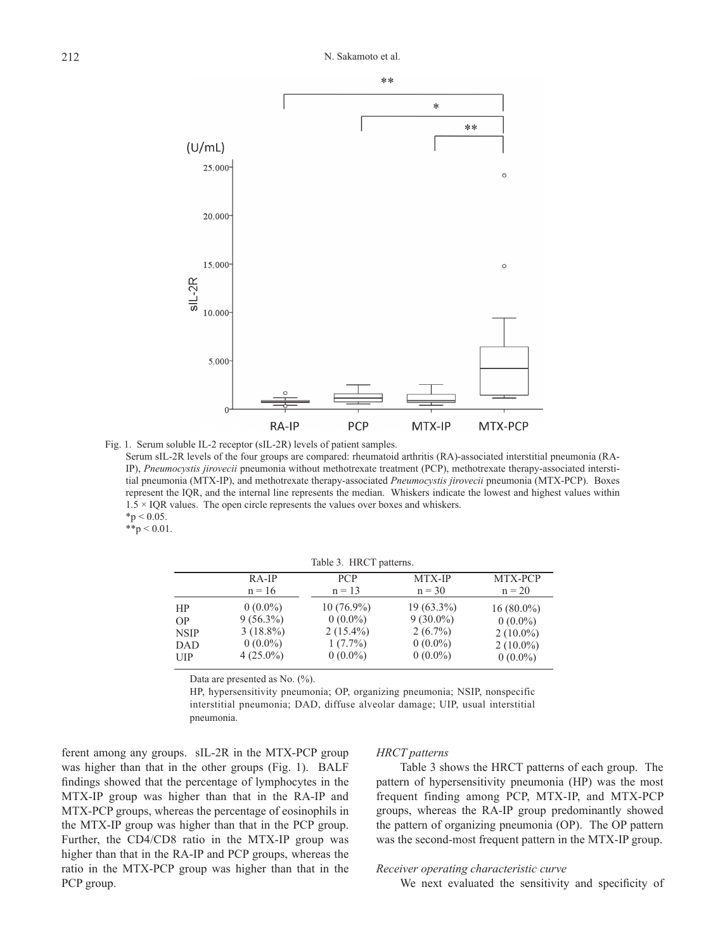

Fig. 1. Serum soluble IL-2 receptor (sIL-2R) levels of patient samples.

Serum sIL-2R levels of the four groups are compared: rheumatoid arthritis (RA)-associated interstitial pneumonia (RA-IP), *Pneumocystis jirovecii* pneumonia without methotrexate treatment (PCP), methotrexate therapy-associated interstitial pneumonia (MTX-IP), and methotrexate therapy-associated *Pneumocystis jirovecii* pneumonia (MTX-PCP). Boxes represent the IQR, and the internal line represents the median. Whiskers indicate the lowest and highest values within  $1.5 \times IQR$  values. The open circle represents the values over boxes and whiskers.  $*$ p < 0.05.

 $*$  $p$  < 0.01.

Table 3. HRCT patterns.

| $RA-IP$     | <b>PCP</b>   | MTX-IP       | MTX-PCP      |
|-------------|--------------|--------------|--------------|
| $n = 16$    | $n = 1.3$    | $n = 30$     | $n = 20$     |
| $0(0.0\%)$  | $10(76.9\%)$ | $19(63.3\%)$ | $16(80.0\%)$ |
| $9(56.3\%)$ | $0(0.0\%)$   | $9(30.0\%)$  | $0(0.0\%)$   |
| $3(18.8\%)$ | $2(15.4\%)$  | $2(6.7\%)$   | $2(10.0\%)$  |
| $0(0.0\%)$  | $1(7.7\%)$   | $0(0.0\%)$   | $2(10.0\%)$  |
| $4(25.0\%)$ | $0(0.0\%)$   | $0(0.0\%)$   | $0(0.0\%)$   |
|             |              |              |              |

Data are presented as No.  $(\%)$ .

HP, hypersensitivity pneumonia; OP, organizing pneumonia; NSIP, nonspecific interstitial pneumonia; DAD, diffuse alveolar damage; UIP, usual interstitial pneumonia.

ferent among any groups. sIL-2R in the MTX-PCP group was higher than that in the other groups (Fig. 1). BALF findings showed that the percentage of lymphocytes in the MTX-IP group was higher than that in the RA-IP and MTX-PCP groups, whereas the percentage of eosinophils in the MTX-IP group was higher than that in the PCP group. Further, the CD4/CD8 ratio in the MTX-IP group was higher than that in the RA-IP and PCP groups, whereas the ratio in the MTX-PCP group was higher than that in the PCP group.

#### *HRCT patterns*

Table 3 shows the HRCT patterns of each group. The pattern of hypersensitivity pneumonia (HP) was the most frequent finding among PCP, MTX-IP, and MTX-PCP groups, whereas the RA-IP group predominantly showed the pattern of organizing pneumonia (OP). The OP pattern was the second-most frequent pattern in the MTX-IP group.

## *Receiver operating characteristic curve*

We next evaluated the sensitivity and specificity of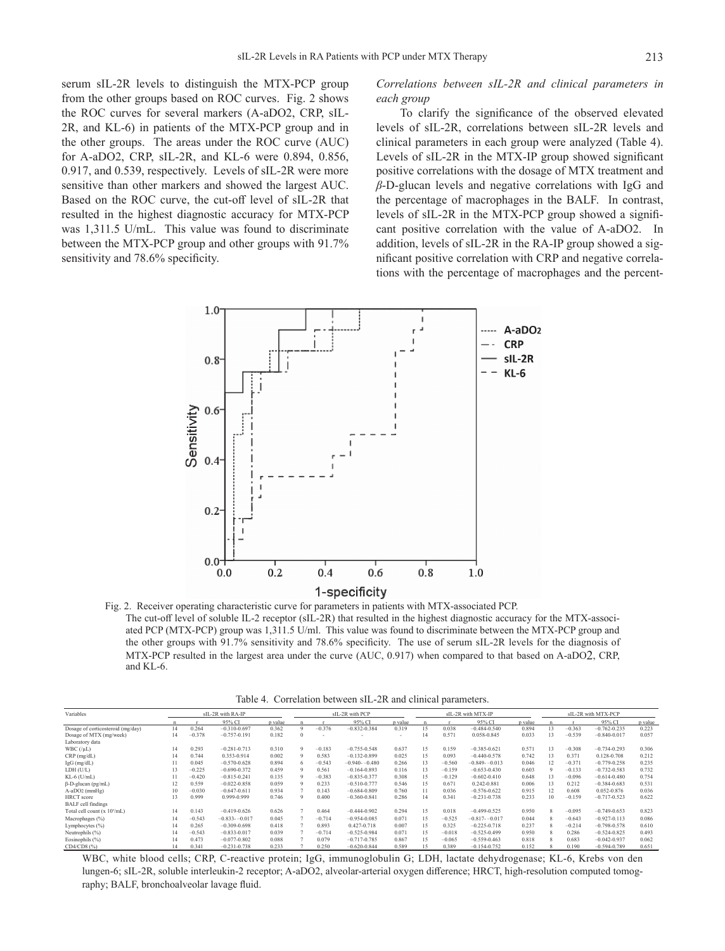serum sIL-2R levels to distinguish the MTX-PCP group from the other groups based on ROC curves. Fig. 2 shows the ROC curves for several markers (A-aDO2, CRP, sIL-2R, and KL-6) in patients of the MTX-PCP group and in the other groups. The areas under the ROC curve (AUC) for A-aDO2, CRP, sIL-2R, and KL-6 were 0.894, 0.856, 0.917, and 0.539, respectively. Levels of sIL-2R were more sensitive than other markers and showed the largest AUC. Based on the ROC curve, the cut-off level of sIL-2R that resulted in the highest diagnostic accuracy for MTX-PCP was 1,311.5 U/mL. This value was found to discriminate between the MTX-PCP group and other groups with 91.7% sensitivity and 78.6% specificity.

*Correlations between sIL-2R and clinical parameters in each group*

To clarify the significance of the observed elevated levels of sIL-2R, correlations between sIL-2R levels and clinical parameters in each group were analyzed (Table 4). Levels of sIL-2R in the MTX-IP group showed significant positive correlations with the dosage of MTX treatment and *β*-D-glucan levels and negative correlations with IgG and the percentage of macrophages in the BALF. In contrast, levels of sIL-2R in the MTX-PCP group showed a significant positive correlation with the value of A-aDO2. In addition, levels of sIL-2R in the RA-IP group showed a significant positive correlation with CRP and negative correlations with the percentage of macrophages and the percent-



Fig. 2. Receiver operating characteristic curve for parameters in patients with MTX-associated PCP. The cut-off level of soluble IL-2 receptor (sIL-2R) that resulted in the highest diagnostic accuracy for the MTX-associated PCP (MTX-PCP) group was 1,311.5 U/ml. This value was found to discriminate between the MTX-PCP group and the other groups with 91.7% sensitivity and 78.6% specificity. The use of serum sIL-2R levels for the diagnosis of MTX-PCP resulted in the largest area under the curve (AUC, 0.917) when compared to that based on A-aDO2, CRP, and KL-6.

Table 4. Correlation between sIL-2R and clinical parameters.

| Variables                                | sIL-2R with RA-IP |          |                  | sIL-2R with PCP |            |          |                  | sIL-2R with MTX-IP |    |          |                   | sIL-2R with MTX-PCP |                    |          |                  |         |
|------------------------------------------|-------------------|----------|------------------|-----------------|------------|----------|------------------|--------------------|----|----------|-------------------|---------------------|--------------------|----------|------------------|---------|
|                                          |                   |          | 95% CI           | p value         |            |          | 95% CI           | p value            |    |          | 95% CI            | p value             |                    |          | 95% CI           | p value |
| Dosage of corticosteroid (mg/day)        | 14                | 0.264    | $-0.310 - 0.697$ | 0.362           | $\Omega$   | $-0.376$ | $-0.832 - 0.384$ | 0.319              | 15 | 0.038    | $-0.484 - 0.540$  | 0.894               | 13                 | $-0.363$ | $-0.762 - 0.235$ | 0.223   |
| Dosage of MTX (mg/week)                  | 14                | $-0.378$ | $-0.757 - 0.191$ | 0.182           |            |          |                  |                    | 14 | 0.571    | 0.058-0.845       | 0.033               |                    | $-0.539$ | $-0.840 - 0.017$ | 0.057   |
| Laboratory data                          |                   |          |                  |                 |            |          |                  |                    |    |          |                   |                     |                    |          |                  |         |
| WBC $($ / $\mu$ L $)$                    | 14                | 0.293    | $-0.281 - 0.713$ | 0.310           | $^{\circ}$ | $-0.183$ | $-0.755 - 0.548$ | 0.637              | 15 | 0.159    | $-0.385 - 0.621$  | 0.571               | 13                 | $-0.308$ | $-0.734 - 0.293$ | 0.306   |
| $CRP$ (mg/dL)                            | 14                | 0.744    | 0.353-0.914      | 0.002           |            | 0.583    | $-0.132 - 0.899$ | 0.025              | 15 | 0.093    | $-0.440 - 0.578$  | 0.742               | 13                 | 0.371    | 0.128-0.708      | 0.212   |
| $IgG$ (mg/dL)                            |                   | 0.045    | $-0.570 - 0.628$ | 0.894           |            | $-0.543$ | $-0.940 - 0.480$ | 0.266              | 13 | $-0.560$ | $-0.849 - 0.013$  | 0.046               | 12                 | $-0.371$ | $-0.779 - 0.258$ | 0.235   |
| LDH (U/L)                                | 13                | $-0.225$ | $-0.690 - 0.372$ | 0.459           |            | 0.561    | $-0.164 - 0.893$ | 0.116              | 13 | $-0.159$ | $-0.653 - 0.430$  | 0.603               | $^{\circ}$         | $-0.133$ | $-0.732 - 0.583$ | 0.732   |
| $KL-6$ ( $U/mL$ )                        |                   | $-0.420$ | $-0.815 - 0.241$ | 0.135           |            | $-0.383$ | $-0.835 - 0.377$ | 0.308              | 15 | $-0.129$ | $-0.602 - 0.410$  | 0.648               | 13                 | $-0.096$ | $-0.614 - 0.480$ | 0.754   |
| $\beta$ -D-glucan (pg/mL)                | 12                | 0.559    | $-0.022 - 0.858$ | 0.059           |            | 0.233    | $-0.510 - 0.777$ | 0.546              | 15 | 0.671    | 0.242-0.881       | 0.006               | 13                 | 0.212    | $-0.384 - 0.683$ | 0.531   |
| $A-aDO2$ ( $mmHe$ )                      | 10                | $-0.030$ | $-0.647 - 0.611$ | 0.934           |            | 0.143    | $-0.684 - 0.809$ | 0.760              | 11 | 0.036    | $-0.576 - 0.622$  | 0.915               | 12                 | 0.608    | 0.052-0.876      | 0.036   |
| HRCT score                               | 13                | 0.999    | 0.999-0.999      | 0.746           |            | 0.400    | $-0.360 - 0.841$ | 0.286              | 14 | 0.341    | $-0.231 - 0.738$  | 0.233               | 10                 | $-0.159$ | $-0.717 - 0.523$ | 0.622   |
| <b>BALF</b> cell findings                |                   |          |                  |                 |            |          |                  |                    |    |          |                   |                     |                    |          |                  |         |
| Total cell count (x 10 <sup>5</sup> /mL) | 14                | 0.143    | $-0.419 - 0.626$ | 0.626           |            | 0.464    | $-0.444 - 0.902$ | 0.294              | 15 | 0.018    | $-0.499 - 0.525$  | 0.950               | $\mathbf{\hat{x}}$ | $-0.095$ | $-0.749 - 0.653$ | 0.823   |
| Macrophages (%)                          | 14                | $-0.543$ | $-0.833 - 0.017$ | 0.045           |            | $-0.714$ | $-0.954 - 0.085$ | 0.071              | 15 | $-0.525$ | $-0.817 - -0.017$ | 0.044               | 8                  | $-0.643$ | $-0.927 - 0.113$ | 0.086   |
| Lymphocytes (%)                          | 14                | 0.265    | $-0.309 - 0.698$ | 0.418           |            | 0.893    | 0.427-0.718      | 0.007              | 15 | 0.325    | $-0.225 - 0.718$  | 0.237               |                    | $-0.214$ | $-0.798 - 0.578$ | 0.610   |
| Neutrophils (%)                          | 14                | $-0.543$ | $-0.833 - 0.017$ | 0.039           |            | $-0.714$ | $-0.525 - 0.984$ | 0.071              | 15 | $-0.018$ | $-0.525 - 0.499$  | 0.950               | 8                  | 0.286    | $-0.524 - 0.825$ | 0.493   |
| Eosinophils (%)                          | 14                | 0.473    | $-0.077 - 0.802$ | 0.088           |            | 0.079    | $-0.717 - 0.785$ | 0.867              | 15 | $-0.065$ | $-0.559 - 0.463$  | 0.818               | 8                  | 0.683    | $-0.042 - 0.937$ | 0.062   |
| CD4/CD8 (%)                              | 14                | 0.341    | $-0.231 - 0.738$ | 0.233           |            | 0.250    | $-0.620 - 0.844$ | 0.589              | 15 | 0.389    | $-0.154 - 0.752$  | 0.152               |                    | 0.190    | $-0.594 - 0.789$ | 0.651   |

WBC, white blood cells; CRP, C-reactive protein; IgG, immunoglobulin G; LDH, lactate dehydrogenase; KL-6, Krebs von den lungen-6; sIL-2R, soluble interleukin-2 receptor; A-aDO2, alveolar-arterial oxygen difference; HRCT, high-resolution computed tomography; BALF, bronchoalveolar lavage fluid.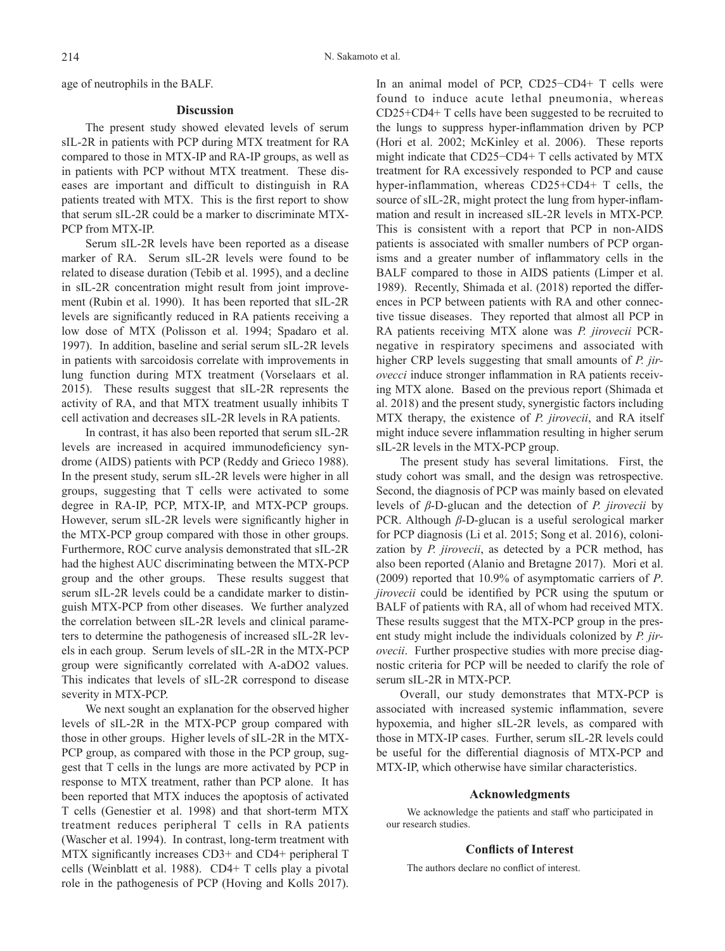age of neutrophils in the BALF.

#### **Discussion**

The present study showed elevated levels of serum sIL-2R in patients with PCP during MTX treatment for RA compared to those in MTX-IP and RA-IP groups, as well as in patients with PCP without MTX treatment. These diseases are important and difficult to distinguish in RA patients treated with MTX. This is the first report to show that serum sIL-2R could be a marker to discriminate MTX-PCP from MTX-IP.

Serum sIL-2R levels have been reported as a disease marker of RA. Serum sIL-2R levels were found to be related to disease duration (Tebib et al. 1995), and a decline in sIL-2R concentration might result from joint improvement (Rubin et al. 1990). It has been reported that sIL-2R levels are significantly reduced in RA patients receiving a low dose of MTX (Polisson et al. 1994; Spadaro et al. 1997). In addition, baseline and serial serum sIL-2R levels in patients with sarcoidosis correlate with improvements in lung function during MTX treatment (Vorselaars et al. 2015). These results suggest that sIL-2R represents the activity of RA, and that MTX treatment usually inhibits T cell activation and decreases sIL-2R levels in RA patients.

In contrast, it has also been reported that serum sIL-2R levels are increased in acquired immunodeficiency syndrome (AIDS) patients with PCP (Reddy and Grieco 1988). In the present study, serum sIL-2R levels were higher in all groups, suggesting that T cells were activated to some degree in RA-IP, PCP, MTX-IP, and MTX-PCP groups. However, serum sIL-2R levels were significantly higher in the MTX-PCP group compared with those in other groups. Furthermore, ROC curve analysis demonstrated that sIL-2R had the highest AUC discriminating between the MTX-PCP group and the other groups. These results suggest that serum sIL-2R levels could be a candidate marker to distinguish MTX-PCP from other diseases. We further analyzed the correlation between sIL-2R levels and clinical parameters to determine the pathogenesis of increased sIL-2R levels in each group. Serum levels of sIL-2R in the MTX-PCP group were significantly correlated with A-aDO2 values. This indicates that levels of sIL-2R correspond to disease severity in MTX-PCP.

We next sought an explanation for the observed higher levels of sIL-2R in the MTX-PCP group compared with those in other groups. Higher levels of sIL-2R in the MTX-PCP group, as compared with those in the PCP group, suggest that T cells in the lungs are more activated by PCP in response to MTX treatment, rather than PCP alone. It has been reported that MTX induces the apoptosis of activated T cells (Genestier et al. 1998) and that short-term MTX treatment reduces peripheral T cells in RA patients (Wascher et al. 1994). In contrast, long-term treatment with MTX significantly increases CD3+ and CD4+ peripheral T cells (Weinblatt et al. 1988). CD4+ T cells play a pivotal role in the pathogenesis of PCP (Hoving and Kolls 2017).

In an animal model of PCP, CD25−CD4+ T cells were found to induce acute lethal pneumonia, whereas CD25+CD4+ T cells have been suggested to be recruited to the lungs to suppress hyper-inflammation driven by PCP (Hori et al. 2002; McKinley et al. 2006). These reports might indicate that CD25−CD4+ T cells activated by MTX treatment for RA excessively responded to PCP and cause hyper-inflammation, whereas CD25+CD4+ T cells, the source of sIL-2R, might protect the lung from hyper-inflammation and result in increased sIL-2R levels in MTX-PCP. This is consistent with a report that PCP in non-AIDS patients is associated with smaller numbers of PCP organisms and a greater number of inflammatory cells in the BALF compared to those in AIDS patients (Limper et al. 1989). Recently, Shimada et al. (2018) reported the differences in PCP between patients with RA and other connective tissue diseases. They reported that almost all PCP in RA patients receiving MTX alone was *P. jirovecii* PCRnegative in respiratory specimens and associated with higher CRP levels suggesting that small amounts of *P. jirovecci* induce stronger inflammation in RA patients receiving MTX alone. Based on the previous report (Shimada et al. 2018) and the present study, synergistic factors including MTX therapy, the existence of *P. jirovecii*, and RA itself might induce severe inflammation resulting in higher serum sIL-2R levels in the MTX-PCP group.

The present study has several limitations. First, the study cohort was small, and the design was retrospective. Second, the diagnosis of PCP was mainly based on elevated levels of *β*-D-glucan and the detection of *P. jirovecii* by PCR. Although *β*-D-glucan is a useful serological marker for PCP diagnosis (Li et al. 2015; Song et al. 2016), colonization by *P. jirovecii*, as detected by a PCR method, has also been reported (Alanio and Bretagne 2017). Mori et al. (2009) reported that 10.9% of asymptomatic carriers of *P*. *jirovecii* could be identified by PCR using the sputum or BALF of patients with RA, all of whom had received MTX. These results suggest that the MTX-PCP group in the present study might include the individuals colonized by *P. jirovecii*. Further prospective studies with more precise diagnostic criteria for PCP will be needed to clarify the role of serum sIL-2R in MTX-PCP.

Overall, our study demonstrates that MTX-PCP is associated with increased systemic inflammation, severe hypoxemia, and higher sIL-2R levels, as compared with those in MTX-IP cases. Further, serum sIL-2R levels could be useful for the differential diagnosis of MTX-PCP and MTX-IP, which otherwise have similar characteristics.

## **Acknowledgments**

We acknowledge the patients and staff who participated in our research studies.

## **Conflicts of Interest**

The authors declare no conflict of interest.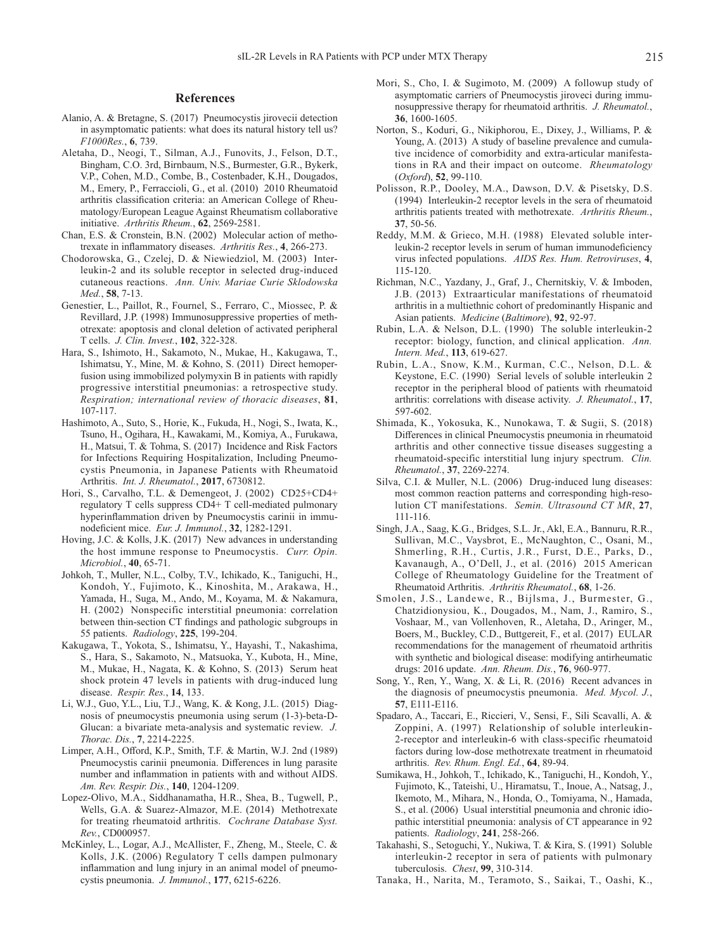## **References**

- Alanio, A. & Bretagne, S. (2017) Pneumocystis jirovecii detection in asymptomatic patients: what does its natural history tell us? *F1000Res.*, **6**, 739.
- Aletaha, D., Neogi, T., Silman, A.J., Funovits, J., Felson, D.T., Bingham, C.O. 3rd, Birnbaum, N.S., Burmester, G.R., Bykerk, V.P., Cohen, M.D., Combe, B., Costenbader, K.H., Dougados, M., Emery, P., Ferraccioli, G., et al. (2010) 2010 Rheumatoid arthritis classification criteria: an American College of Rheumatology/European League Against Rheumatism collaborative initiative. *Arthritis Rheum.*, **62**, 2569-2581.
- Chan, E.S. & Cronstein, B.N. (2002) Molecular action of methotrexate in inflammatory diseases. *Arthritis Res.*, **4**, 266-273.
- Chodorowska, G., Czelej, D. & Niewiedziol, M. (2003) Interleukin-2 and its soluble receptor in selected drug-induced cutaneous reactions. *Ann. Univ. Mariae Curie Sklodowska Med.*, **58**, 7-13.
- Genestier, L., Paillot, R., Fournel, S., Ferraro, C., Miossec, P. & Revillard, J.P. (1998) Immunosuppressive properties of methotrexate: apoptosis and clonal deletion of activated peripheral T cells. *J. Clin. Invest.*, **102**, 322-328.
- Hara, S., Ishimoto, H., Sakamoto, N., Mukae, H., Kakugawa, T., Ishimatsu, Y., Mine, M. & Kohno, S. (2011) Direct hemoperfusion using immobilized polymyxin B in patients with rapidly progressive interstitial pneumonias: a retrospective study. *Respiration; international review of thoracic diseases*, **81**, 107-117.
- Hashimoto, A., Suto, S., Horie, K., Fukuda, H., Nogi, S., Iwata, K., Tsuno, H., Ogihara, H., Kawakami, M., Komiya, A., Furukawa, H., Matsui, T. & Tohma, S. (2017) Incidence and Risk Factors for Infections Requiring Hospitalization, Including Pneumocystis Pneumonia, in Japanese Patients with Rheumatoid Arthritis. *Int. J. Rheumatol.*, **2017**, 6730812.
- Hori, S., Carvalho, T.L. & Demengeot, J. (2002) CD25+CD4+ regulatory T cells suppress CD4+ T cell-mediated pulmonary hyperinflammation driven by Pneumocystis carinii in immunodeficient mice. *Eur. J. Immunol.*, **32**, 1282-1291.
- Hoving, J.C. & Kolls, J.K. (2017) New advances in understanding the host immune response to Pneumocystis. *Curr. Opin. Microbiol.*, **40**, 65-71.
- Johkoh, T., Muller, N.L., Colby, T.V., Ichikado, K., Taniguchi, H., Kondoh, Y., Fujimoto, K., Kinoshita, M., Arakawa, H., Yamada, H., Suga, M., Ando, M., Koyama, M. & Nakamura, H. (2002) Nonspecific interstitial pneumonia: correlation between thin-section CT findings and pathologic subgroups in 55 patients. *Radiology*, **225**, 199-204.
- Kakugawa, T., Yokota, S., Ishimatsu, Y., Hayashi, T., Nakashima, S., Hara, S., Sakamoto, N., Matsuoka, Y., Kubota, H., Mine, M., Mukae, H., Nagata, K. & Kohno, S. (2013) Serum heat shock protein 47 levels in patients with drug-induced lung disease. *Respir. Res.*, **14**, 133.
- Li, W.J., Guo, Y.L., Liu, T.J., Wang, K. & Kong, J.L. (2015) Diagnosis of pneumocystis pneumonia using serum (1-3)-beta-D-Glucan: a bivariate meta-analysis and systematic review. *J. Thorac. Dis.*, **7**, 2214-2225.
- Limper, A.H., Offord, K.P., Smith, T.F. & Martin, W.J. 2nd (1989) Pneumocystis carinii pneumonia. Differences in lung parasite number and inflammation in patients with and without AIDS. *Am. Rev. Respir. Dis.*, **140**, 1204-1209.
- Lopez-Olivo, M.A., Siddhanamatha, H.R., Shea, B., Tugwell, P., Wells, G.A. & Suarez-Almazor, M.E. (2014) Methotrexate for treating rheumatoid arthritis. *Cochrane Database Syst. Rev.*, CD000957.
- McKinley, L., Logar, A.J., McAllister, F., Zheng, M., Steele, C. & Kolls, J.K. (2006) Regulatory T cells dampen pulmonary inflammation and lung injury in an animal model of pneumocystis pneumonia. *J. Immunol.*, **177**, 6215-6226.
- Mori, S., Cho, I. & Sugimoto, M. (2009) A followup study of asymptomatic carriers of Pneumocystis jiroveci during immunosuppressive therapy for rheumatoid arthritis. *J. Rheumatol.*, **36**, 1600-1605.
- Norton, S., Koduri, G., Nikiphorou, E., Dixey, J., Williams, P. & Young, A. (2013) A study of baseline prevalence and cumulative incidence of comorbidity and extra-articular manifestations in RA and their impact on outcome. *Rheumatology*  (*Oxford*), **52**, 99-110.
- Polisson, R.P., Dooley, M.A., Dawson, D.V. & Pisetsky, D.S. (1994) Interleukin-2 receptor levels in the sera of rheumatoid arthritis patients treated with methotrexate. *Arthritis Rheum.*, **37**, 50-56.
- Reddy, M.M. & Grieco, M.H. (1988) Elevated soluble interleukin-2 receptor levels in serum of human immunodeficiency virus infected populations. *AIDS Res. Hum. Retroviruses*, **4**, 115-120.
- Richman, N.C., Yazdany, J., Graf, J., Chernitskiy, V. & Imboden, J.B. (2013) Extraarticular manifestations of rheumatoid arthritis in a multiethnic cohort of predominantly Hispanic and Asian patients. *Medicine* (*Baltimore*), **92**, 92-97.
- Rubin, L.A. & Nelson, D.L. (1990) The soluble interleukin-2 receptor: biology, function, and clinical application. *Ann. Intern. Med.*, **113**, 619-627.
- Rubin, L.A., Snow, K.M., Kurman, C.C., Nelson, D.L. & Keystone, E.C. (1990) Serial levels of soluble interleukin 2 receptor in the peripheral blood of patients with rheumatoid arthritis: correlations with disease activity. *J. Rheumatol.*, **17**, 597-602.
- Shimada, K., Yokosuka, K., Nunokawa, T. & Sugii, S. (2018) Differences in clinical Pneumocystis pneumonia in rheumatoid arthritis and other connective tissue diseases suggesting a rheumatoid-specific interstitial lung injury spectrum. *Clin. Rheumatol.*, **37**, 2269-2274.
- Silva, C.I. & Muller, N.L. (2006) Drug-induced lung diseases: most common reaction patterns and corresponding high-resolution CT manifestations. *Semin. Ultrasound CT MR*, **27**, 111-116.
- Singh, J.A., Saag, K.G., Bridges, S.L. Jr., Akl, E.A., Bannuru, R.R., Sullivan, M.C., Vaysbrot, E., McNaughton, C., Osani, M., Shmerling, R.H., Curtis, J.R., Furst, D.E., Parks, D., Kavanaugh, A., O'Dell, J., et al. (2016) 2015 American College of Rheumatology Guideline for the Treatment of Rheumatoid Arthritis. *Arthritis Rheumatol.*, **68**, 1-26.
- Smolen, J.S., Landewe, R., Bijlsma, J., Burmester, G., Chatzidionysiou, K., Dougados, M., Nam, J., Ramiro, S., Voshaar, M., van Vollenhoven, R., Aletaha, D., Aringer, M., Boers, M., Buckley, C.D., Buttgereit, F., et al. (2017) EULAR recommendations for the management of rheumatoid arthritis with synthetic and biological disease: modifying antirheumatic drugs: 2016 update. *Ann. Rheum. Dis.*, **76**, 960-977.
- Song, Y., Ren, Y., Wang, X. & Li, R. (2016) Recent advances in the diagnosis of pneumocystis pneumonia. *Med. Mycol. J.*, **57**, E111-E116.
- Spadaro, A., Taccari, E., Riccieri, V., Sensi, F., Sili Scavalli, A. & Zoppini, A. (1997) Relationship of soluble interleukin-2-receptor and interleukin-6 with class-specific rheumatoid factors during low-dose methotrexate treatment in rheumatoid arthritis. *Rev. Rhum. Engl. Ed.*, **64**, 89-94.
- Sumikawa, H., Johkoh, T., Ichikado, K., Taniguchi, H., Kondoh, Y., Fujimoto, K., Tateishi, U., Hiramatsu, T., Inoue, A., Natsag, J., Ikemoto, M., Mihara, N., Honda, O., Tomiyama, N., Hamada, S., et al. (2006) Usual interstitial pneumonia and chronic idiopathic interstitial pneumonia: analysis of CT appearance in 92 patients. *Radiology*, **241**, 258-266.
- Takahashi, S., Setoguchi, Y., Nukiwa, T. & Kira, S. (1991) Soluble interleukin-2 receptor in sera of patients with pulmonary tuberculosis. *Chest*, **99**, 310-314.
- Tanaka, H., Narita, M., Teramoto, S., Saikai, T., Oashi, K.,